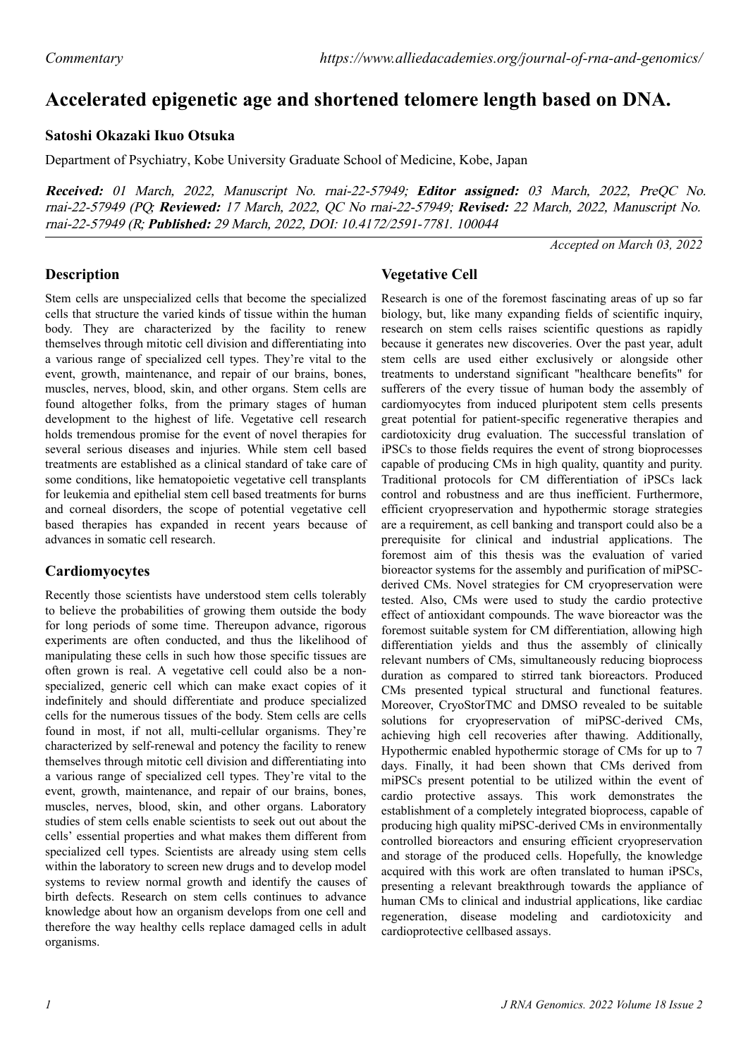## **Accelerated epigenetic age and shortened telomere length based on DNA.**

#### **Satoshi Okazaki Ikuo Otsuka**

Department of Psychiatry, Kobe University Graduate School of Medicine, Kobe, Japan

**Received:** 01 March, 2022, Manuscript No. rnai-22-57949; **Editor assigned:** 03 March, 2022, PreQC No. rnai-22-57949 (PQ; **Reviewed:** 17 March, 2022, QC No rnai-22-57949; **Revised:** 22 March, 2022, Manuscript No. rnai-22-57949 (R; **Published:** 29 March, 2022, DOI: 10.4172/2591-7781. 100044

*Accepted on March 03, 2022*

#### **Description**

Stem cells are unspecialized cells that become the specialized cells that structure the varied kinds of tissue within the human body. They are characterized by the facility to renew themselves through mitotic cell division and differentiating into a various range of specialized cell types. They're vital to the event, growth, maintenance, and repair of our brains, bones, muscles, nerves, blood, skin, and other organs. Stem cells are found altogether folks, from the primary stages of human development to the highest of life. Vegetative cell research holds tremendous promise for the event of novel therapies for several serious diseases and injuries. While stem cell based treatments are established as a clinical standard of take care of some conditions, like hematopoietic vegetative cell transplants for leukemia and epithelial stem cell based treatments for burns and corneal disorders, the scope of potential vegetative cell based therapies has expanded in recent years because of advances in somatic cell research.

#### **Cardiomyocytes**

Recently those scientists have understood stem cells tolerably to believe the probabilities of growing them outside the body for long periods of some time. Thereupon advance, rigorous experiments are often conducted, and thus the likelihood of manipulating these cells in such how those specific tissues are often grown is real. A vegetative cell could also be a nonspecialized, generic cell which can make exact copies of it indefinitely and should differentiate and produce specialized cells for the numerous tissues of the body. Stem cells are cells found in most, if not all, multi-cellular organisms. They're characterized by self-renewal and potency the facility to renew themselves through mitotic cell division and differentiating into a various range of specialized cell types. They're vital to the event, growth, maintenance, and repair of our brains, bones, muscles, nerves, blood, skin, and other organs. Laboratory studies of stem cells enable scientists to seek out out about the cells' essential properties and what makes them different from specialized cell types. Scientists are already using stem cells within the laboratory to screen new drugs and to develop model systems to review normal growth and identify the causes of birth defects. Research on stem cells continues to advance knowledge about how an organism develops from one cell and therefore the way healthy cells replace damaged cells in adult organisms.

### **Vegetative Cell**

Research is one of the foremost fascinating areas of up so far biology, but, like many expanding fields of scientific inquiry, research on stem cells raises scientific questions as rapidly because it generates new discoveries. Over the past year, adult stem cells are used either exclusively or alongside other treatments to understand significant "healthcare benefits" for sufferers of the every tissue of human body the assembly of cardiomyocytes from induced pluripotent stem cells presents great potential for patient-specific regenerative therapies and cardiotoxicity drug evaluation. The successful translation of iPSCs to those fields requires the event of strong bioprocesses capable of producing CMs in high quality, quantity and purity. Traditional protocols for CM differentiation of iPSCs lack control and robustness and are thus inefficient. Furthermore, efficient cryopreservation and hypothermic storage strategies are a requirement, as cell banking and transport could also be a prerequisite for clinical and industrial applications. The foremost aim of this thesis was the evaluation of varied bioreactor systems for the assembly and purification of miPSCderived CMs. Novel strategies for CM cryopreservation were tested. Also, CMs were used to study the cardio protective effect of antioxidant compounds. The wave bioreactor was the foremost suitable system for CM differentiation, allowing high differentiation yields and thus the assembly of clinically relevant numbers of CMs, simultaneously reducing bioprocess duration as compared to stirred tank bioreactors. Produced CMs presented typical structural and functional features. Moreover, CryoStorTMC and DMSO revealed to be suitable solutions for cryopreservation of miPSC-derived CMs, achieving high cell recoveries after thawing. Additionally, Hypothermic enabled hypothermic storage of CMs for up to 7 days. Finally, it had been shown that CMs derived from miPSCs present potential to be utilized within the event of cardio protective assays. This work demonstrates the establishment of a completely integrated bioprocess, capable of producing high quality miPSC-derived CMs in environmentally controlled bioreactors and ensuring efficient cryopreservation and storage of the produced cells. Hopefully, the knowledge acquired with this work are often translated to human iPSCs, presenting a relevant breakthrough towards the appliance of human CMs to clinical and industrial applications, like cardiac regeneration, disease modeling and cardiotoxicity and cardioprotective cellbased assays.